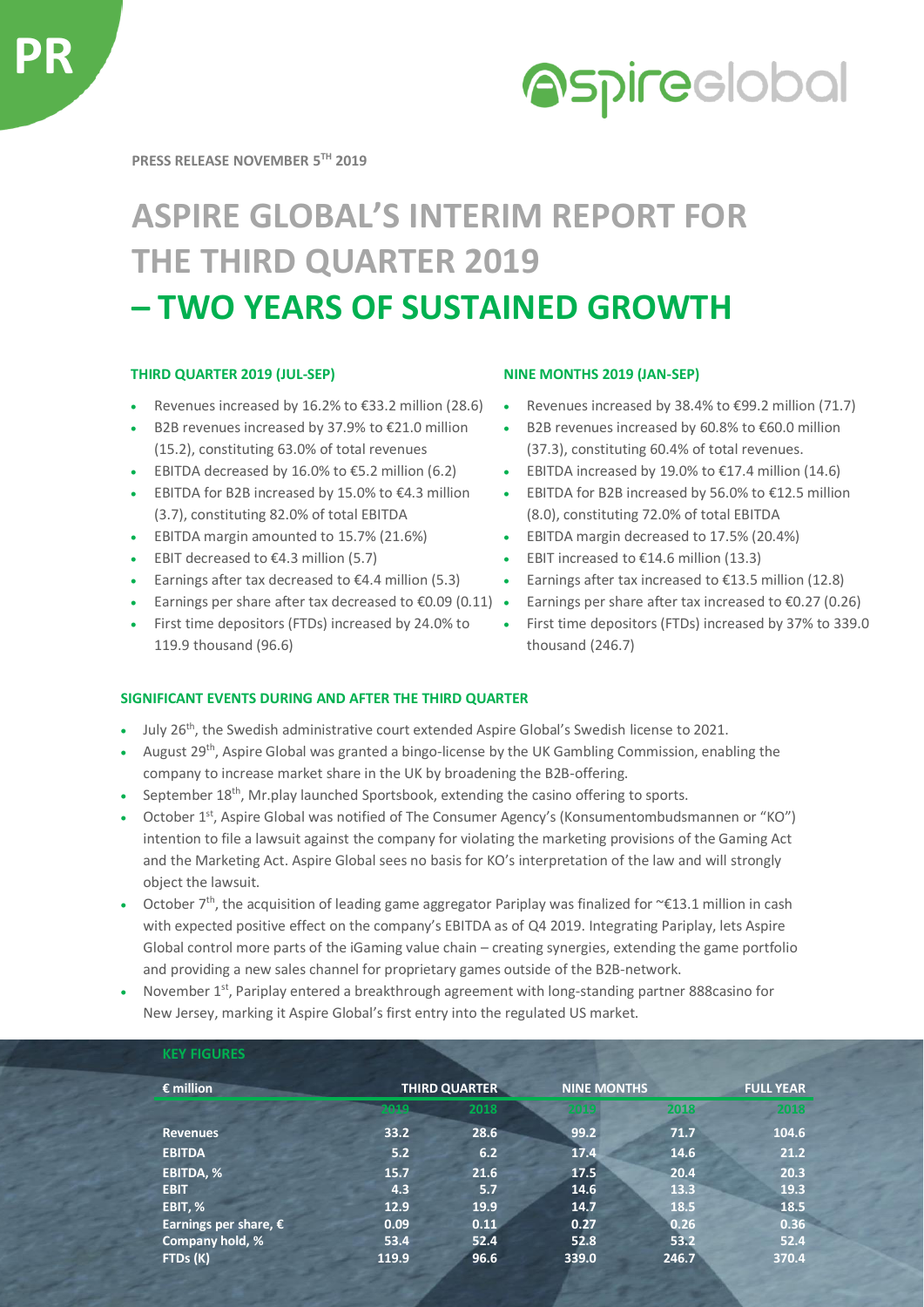

# **Aspireclobal**

**PRESS RELEASE NOVEMBER 5 TH 2019**

## **ASPIRE GLOBAL'S INTERIM REPORT FOR THE THIRD QUARTER 2019 – TWO YEARS OF SUSTAINED GROWTH**

### **THIRD QUARTER 2019 (JUL-SEP) NINE MONTHS 2019 (JAN-SEP)**

- 
- B2B revenues increased by 37.9% to €21.0 million (15.2), constituting 63.0% of total revenues
- 
- EBITDA for B2B increased by 15.0% to €4.3 million (3.7), constituting 82.0% of total EBITDA
- EBITDA margin amounted to 15.7% (21.6%) EBITDA margin decreased to 17.5% (20.4%)
- 
- 
- Earnings per share after tax decreased to €0.09 (0.11) Earnings per share after tax increased to €0.27 (0.26)
- First time depositors (FTDs) increased by 24.0% to 119.9 thousand (96.6)

- Revenues increased by 16.2% to €33.2 million (28.6) Revenues increased by 38.4% to €99.2 million (71.7)
	- B2B revenues increased by 60.8% to €60.0 million (37.3), constituting 60.4% of total revenues.
- EBITDA decreased by 16.0% to  $\epsilon$ 5.2 million (6.2) EBITDA increased by 19.0% to  $\epsilon$ 17.4 million (14.6)
	- EBITDA for B2B increased by 56.0% to €12.5 million (8.0), constituting 72.0% of total EBITDA
	-
- EBIT decreased to €4.3 million (5.7) EBIT increased to €14.6 million (13.3)
- Earnings after tax decreased to €4.4 million (5.3) Earnings after tax increased to €13.5 million (12.8)
	-
	- First time depositors (FTDs) increased by 37% to 339.0 thousand (246.7)

### **SIGNIFICANT EVENTS DURING AND AFTER THE THIRD QUARTER**

- July 26th, the Swedish administrative court extended Aspire Global's Swedish license to 2021.
- August 29<sup>th</sup>, Aspire Global was granted a bingo-license by the UK Gambling Commission, enabling the company to increase market share in the UK by broadening the B2B-offering.
- September 18<sup>th</sup>, Mr.play launched Sportsbook, extending the casino offering to sports.
- October 1<sup>st</sup>, Aspire Global was notified of The Consumer Agency's (Konsumentombudsmannen or "KO") intention to file a lawsuit against the company for violating the marketing provisions of the Gaming Act and the Marketing Act. Aspire Global sees no basis for KO's interpretation of the law and will strongly object the lawsuit.
- October  $7<sup>th</sup>$ , the acquisition of leading game aggregator Pariplay was finalized for ~€13.1 million in cash with expected positive effect on the company's EBITDA as of Q4 2019. Integrating Pariplay, lets Aspire Global control more parts of the iGaming value chain – creating synergies, extending the game portfolio and providing a new sales channel for proprietary games outside of the B2B-network.
- November 1<sup>st</sup>, Pariplay entered a breakthrough agreement with long-standing partner 888casino for New Jersey, marking it Aspire Global's first entry into the regulated US market.

| $\epsilon$ million           | <b>THIRD QUARTER</b> |      | <b>NINE MONTHS</b> |       | <b>FULL YEAR</b> |
|------------------------------|----------------------|------|--------------------|-------|------------------|
|                              | 2019                 | 2018 |                    | 2018  | 2018             |
| <b>Revenues</b>              | 33.2                 | 28.6 | 99.2               | 71.7  | 104.6            |
| <b>EBITDA</b>                | 5.2                  | 6.2  | 17.4               | 14.6  | 21.2             |
| <b>EBITDA, %</b>             | 15.7                 | 21.6 | 17.5               | 20.4  | 20.3             |
| <b>EBIT</b>                  | 4.3                  | 5.7  | 14.6               | 13.3  | 19.3             |
| EBIT, %                      | 12.9                 | 19.9 | 14.7               | 18.5  | 18.5             |
| <b>Earnings per share, €</b> | 0.09                 | 0.11 | 0.27               | 0.26  | 0.36             |
| Company hold, %              | 53.4                 | 52.4 | 52.8               | 53.2  | 52.4             |
| FTDs (K)                     | 119.9                | 96.6 | 339.0              | 246.7 | 370.4            |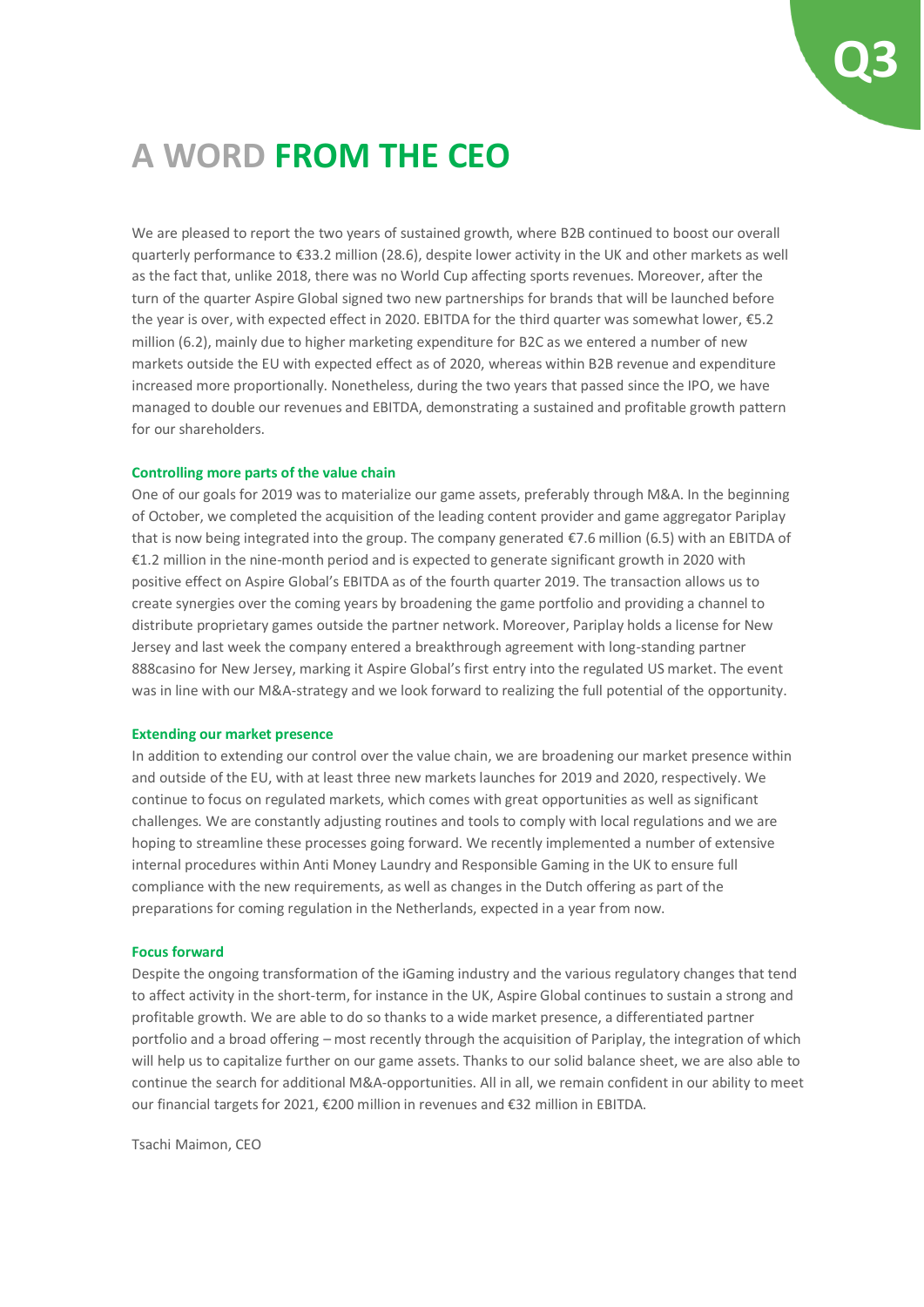

### **A WORD FROM THE CEO**

We are pleased to report the two years of sustained growth, where B2B continued to boost our overall quarterly performance to €33.2 million (28.6), despite lower activity in the UK and other markets as well as the fact that, unlike 2018, there was no World Cup affecting sports revenues. Moreover, after the turn of the quarter Aspire Global signed two new partnerships for brands that will be launched before the year is over, with expected effect in 2020. EBITDA for the third quarter was somewhat lower, €5.2 million (6.2), mainly due to higher marketing expenditure for B2C as we entered a number of new markets outside the EU with expected effect as of 2020, whereas within B2B revenue and expenditure increased more proportionally. Nonetheless, during the two years that passed since the IPO, we have managed to double our revenues and EBITDA, demonstrating a sustained and profitable growth pattern for our shareholders.

#### **Controlling more parts of the value chain**

One of our goals for 2019 was to materialize our game assets, preferably through M&A. In the beginning of October, we completed the acquisition of the leading content provider and game aggregator Pariplay that is now being integrated into the group. The company generated €7.6 million (6.5) with an EBITDA of €1.2 million in the nine-month period and is expected to generate significant growth in 2020 with positive effect on Aspire Global's EBITDA as of the fourth quarter 2019. The transaction allows us to create synergies over the coming years by broadening the game portfolio and providing a channel to distribute proprietary games outside the partner network. Moreover, Pariplay holds a license for New Jersey and last week the company entered a breakthrough agreement with long-standing partner 888casino for New Jersey, marking it Aspire Global's first entry into the regulated US market. The event was in line with our M&A-strategy and we look forward to realizing the full potential of the opportunity.

#### **Extending our market presence**

In addition to extending our control over the value chain, we are broadening our market presence within and outside of the EU, with at least three new markets launches for 2019 and 2020, respectively. We continue to focus on regulated markets, which comes with great opportunities as well as significant challenges. We are constantly adjusting routines and tools to comply with local regulations and we are hoping to streamline these processes going forward. We recently implemented a number of extensive internal procedures within Anti Money Laundry and Responsible Gaming in the UK to ensure full compliance with the new requirements, as well as changes in the Dutch offering as part of the preparations for coming regulation in the Netherlands, expected in a year from now.

#### **Focus forward**

Despite the ongoing transformation of the iGaming industry and the various regulatory changes that tend to affect activity in the short-term, for instance in the UK, Aspire Global continues to sustain a strong and profitable growth. We are able to do so thanks to a wide market presence, a differentiated partner portfolio and a broad offering – most recently through the acquisition of Pariplay, the integration of which will help us to capitalize further on our game assets. Thanks to our solid balance sheet, we are also able to continue the search for additional M&A-opportunities. All in all, we remain confident in our ability to meet our financial targets for 2021, €200 million in revenues and €32 million in EBITDA.

Tsachi Maimon, CEO